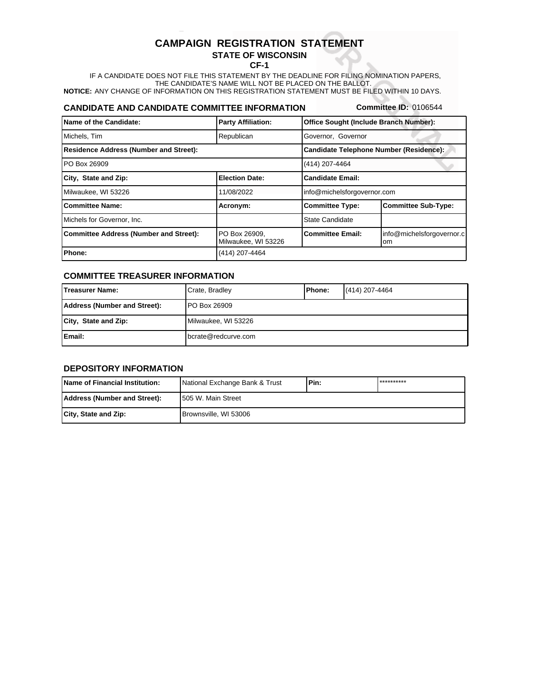# **CAMPAIGN REGISTRATION STATEMENT**

## **STATE OF WISCONSIN**

**CF-1**

**NOTICE:** ANY CHANGE OF INFORMATION ON THIS REGISTRATION STATEMENT MUST BE FILED WITHIN 10 DAYS. IF A CANDIDATE DOES NOT FILE THIS STATEMENT BY THE DEADLINE FOR FILING NOMINATION PAPERS, THE CANDIDATE'S NAME WILL NOT BE PLACED ON THE BALLOT.

### **CANDIDATE AND CANDIDATE COMMITTEE INFORMATION**

**Committee ID:** 0106544

| Name of the Candidate:                        | <b>Party Affiliation:</b>            | Office Sought (Include Branch Number):         |                                 |
|-----------------------------------------------|--------------------------------------|------------------------------------------------|---------------------------------|
| Michels, Tim                                  | Republican                           | Governor, Governor                             |                                 |
| <b>Residence Address (Number and Street):</b> |                                      | <b>Candidate Telephone Number (Residence):</b> |                                 |
| PO Box 26909                                  |                                      | (414) 207-4464                                 |                                 |
| City, State and Zip:                          | <b>Election Date:</b>                | <b>Candidate Email:</b>                        |                                 |
| Milwaukee, WI 53226                           | 11/08/2022                           | info@michelsforgovernor.com                    |                                 |
| <b>Committee Name:</b>                        | Acronym:                             | <b>Committee Type:</b>                         | <b>Committee Sub-Type:</b>      |
| Michels for Governor, Inc.                    |                                      | <b>State Candidate</b>                         |                                 |
| <b>Committee Address (Number and Street):</b> | PO Box 26909.<br>Milwaukee, WI 53226 | <b>Committee Email:</b>                        | info@michelsforgovernor.c<br>om |
| Phone:                                        | (414) 207-4464                       |                                                |                                 |

#### **COMMITTEE TREASURER INFORMATION**

| lTreasurer Name:             | Crate, Bradley      | <b>IPhone:</b> | (414) 207-4464 |
|------------------------------|---------------------|----------------|----------------|
| Address (Number and Street): | <b>PO Box 26909</b> |                |                |
| City, State and Zip:         | Milwaukee, WI 53226 |                |                |
| <b>Email:</b>                | bcrate@redcurve.com |                |                |

#### **DEPOSITORY INFORMATION**

| <b>IName of Financial Institution:</b> | National Exchange Bank & Trust | lPin: | ********** |
|----------------------------------------|--------------------------------|-------|------------|
| Address (Number and Street):           | 1505 W. Main Street            |       |            |
| City, State and Zip:                   | Brownsville, WI 53006          |       |            |